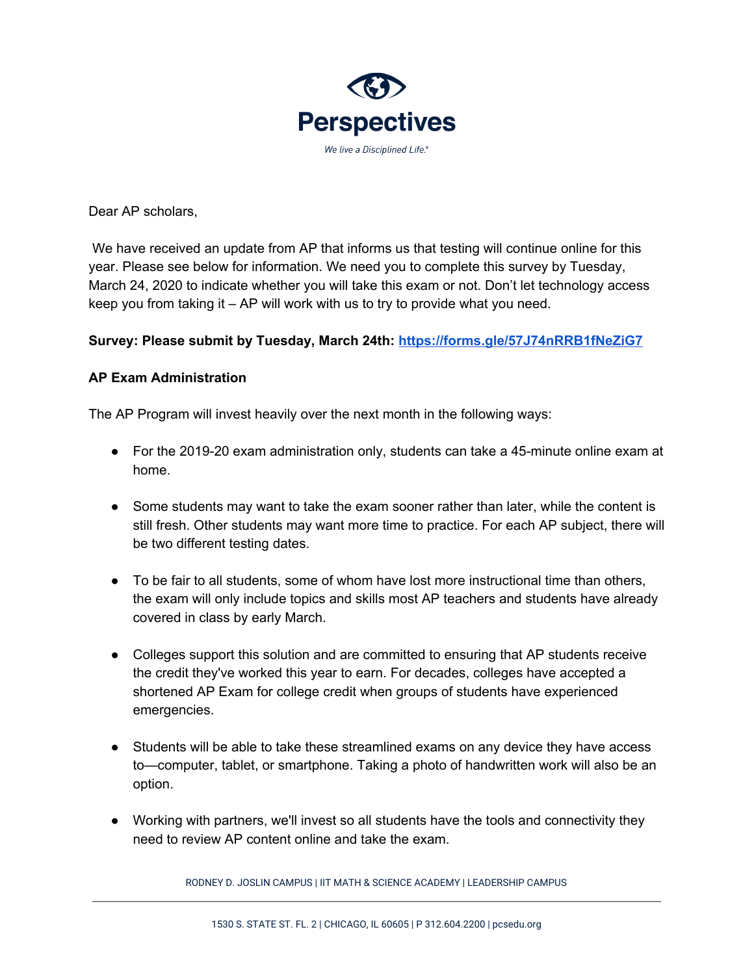

Dear AP scholars,

We have received an update from AP that informs us that testing will continue online for this year. Please see below for information. We need you to complete this survey by Tuesday, March 24, 2020 to indicate whether you will take this exam or not. Don't let technology access keep you from taking it – AP will work with us to try to provide what you need.

## **Survey: Please submit by Tuesday, March 24th: <https://forms.gle/57J74nRRB1fNeZiG7>**

## **AP Exam Administration**

The AP Program will invest heavily over the next month in the following ways:

- For the 2019-20 exam administration only, students can take a 45-minute online exam at home.
- Some students may want to take the exam sooner rather than later, while the content is still fresh. Other students may want more time to practice. For each AP subject, there will be two different testing dates.
- To be fair to all students, some of whom have lost more instructional time than others, the exam will only include topics and skills most AP teachers and students have already covered in class by early March.
- Colleges support this solution and are committed to ensuring that AP students receive the credit they've worked this year to earn. For decades, colleges have accepted a shortened AP Exam for college credit when groups of students have experienced emergencies.
- Students will be able to take these streamlined exams on any device they have access to—computer, tablet, or smartphone. Taking a photo of handwritten work will also be an option.
- Working with partners, we'll invest so all students have the tools and connectivity they need to review AP content online and take the exam.

RODNEY D. JOSLIN CAMPUS | IIT MATH & SCIENCE ACADEMY | LEADERSHIP CAMPUS